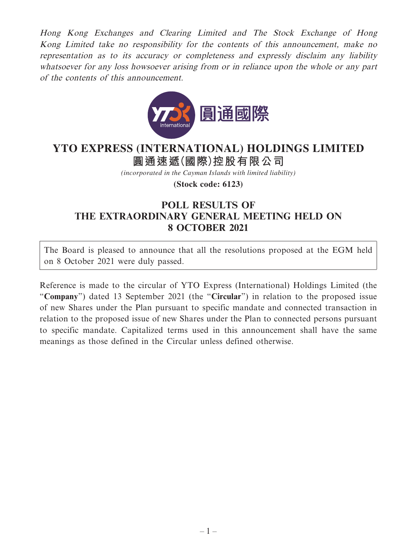Hong Kong Exchanges and Clearing Limited and The Stock Exchange of Hong Kong Limited take no responsibility for the contents of this announcement, make no representation as to its accuracy or completeness and expressly disclaim any liability whatsoever for any loss howsoever arising from or in reliance upon the whole or any part of the contents of this announcement.



## **圓通速遞(國際)控股有限公司 YTO EXPRESS (INTERNATIONAL) HOLDINGS LIMITED**

*(incorporated in the Cayman Islands with limited liability)*

**(Stock code: 6123)**

## **POLL RESULTS OF THE EXTRAORDINARY GENERAL MEETING HELD ON 8 OCTOBER 2021**

The Board is pleased to announce that all the resolutions proposed at the EGM held on 8 October 2021 were duly passed.

Reference is made to the circular of YTO Express (International) Holdings Limited (the "**Company**") dated 13 September 2021 (the "**Circular**") in relation to the proposed issue of new Shares under the Plan pursuant to specific mandate and connected transaction in relation to the proposed issue of new Shares under the Plan to connected persons pursuant to specific mandate. Capitalized terms used in this announcement shall have the same meanings as those defined in the Circular unless defined otherwise.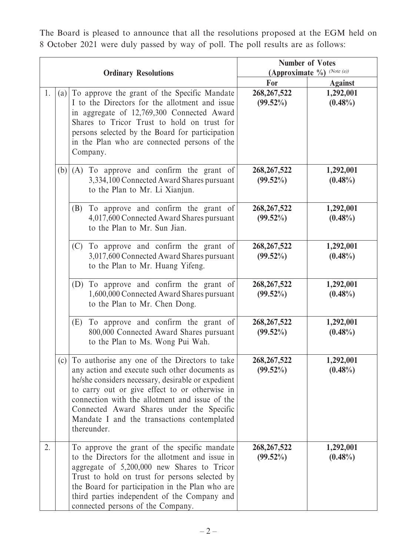The Board is pleased to announce that all the resolutions proposed at the EGM held on 8 October 2021 were duly passed by way of poll. The poll results are as follows:

| <b>Ordinary Resolutions</b> |     |                                                                                                                                                                                                                                                                                                                                                                      | <b>Number of Votes</b><br>(Approximate %) (Note (a)) |                         |
|-----------------------------|-----|----------------------------------------------------------------------------------------------------------------------------------------------------------------------------------------------------------------------------------------------------------------------------------------------------------------------------------------------------------------------|------------------------------------------------------|-------------------------|
|                             |     |                                                                                                                                                                                                                                                                                                                                                                      | For                                                  | <b>Against</b>          |
| 1.                          | (a) | To approve the grant of the Specific Mandate<br>I to the Directors for the allotment and issue<br>in aggregate of 12,769,300 Connected Award<br>Shares to Tricor Trust to hold on trust for<br>persons selected by the Board for participation<br>in the Plan who are connected persons of the<br>Company.                                                           | 268, 267, 522<br>$(99.52\%)$                         | 1,292,001<br>$(0.48\%)$ |
|                             |     | $(b)$ $(A)$<br>To approve and confirm the grant of<br>3,334,100 Connected Award Shares pursuant<br>to the Plan to Mr. Li Xianjun.                                                                                                                                                                                                                                    | 268, 267, 522<br>$(99.52\%)$                         | 1,292,001<br>$(0.48\%)$ |
|                             |     | To approve and confirm the grant of<br>(B)<br>4,017,600 Connected Award Shares pursuant<br>to the Plan to Mr. Sun Jian.                                                                                                                                                                                                                                              | 268, 267, 522<br>$(99.52\%)$                         | 1,292,001<br>$(0.48\%)$ |
|                             |     | To approve and confirm the grant of<br>(C)<br>3,017,600 Connected Award Shares pursuant<br>to the Plan to Mr. Huang Yifeng.                                                                                                                                                                                                                                          | 268, 267, 522<br>$(99.52\%)$                         | 1,292,001<br>$(0.48\%)$ |
|                             |     | (D) To approve and confirm the grant of<br>1,600,000 Connected Award Shares pursuant<br>to the Plan to Mr. Chen Dong.                                                                                                                                                                                                                                                | 268, 267, 522<br>$(99.52\%)$                         | 1,292,001<br>$(0.48\%)$ |
|                             |     | To approve and confirm the grant of<br>(E)<br>800,000 Connected Award Shares pursuant<br>to the Plan to Ms. Wong Pui Wah.                                                                                                                                                                                                                                            | 268, 267, 522<br>$(99.52\%)$                         | 1,292,001<br>$(0.48\%)$ |
|                             | (c) | To authorise any one of the Directors to take<br>any action and execute such other documents as<br>he/she considers necessary, desirable or expedient<br>to carry out or give effect to or otherwise in<br>connection with the allotment and issue of the<br>Connected Award Shares under the Specific<br>Mandate I and the transactions contemplated<br>thereunder. | 268, 267, 522<br>$(99.52\%)$                         | 1,292,001<br>$(0.48\%)$ |
| 2.                          |     | To approve the grant of the specific mandate<br>to the Directors for the allotment and issue in<br>aggregate of 5,200,000 new Shares to Tricor<br>Trust to hold on trust for persons selected by<br>the Board for participation in the Plan who are<br>third parties independent of the Company and<br>connected persons of the Company.                             | 268, 267, 522<br>$(99.52\%)$                         | 1,292,001<br>$(0.48\%)$ |